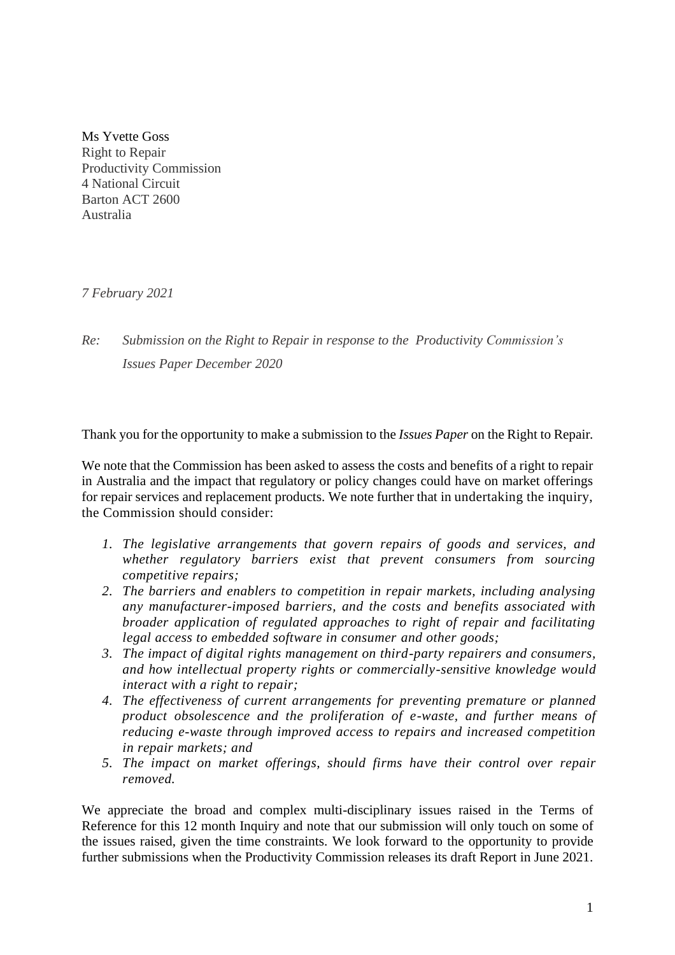Ms Yvette Goss Right to Repair Productivity Commission 4 National Circuit Barton ACT 2600 Australia

*7 February 2021*

*Re: Submission on the Right to Repair in response to the Productivity Commission's Issues Paper December 2020*

Thank you for the opportunity to make a submission to the *Issues Paper* on the Right to Repair*.*

We note that the Commission has been asked to assess the costs and benefits of a right to repair in Australia and the impact that regulatory or policy changes could have on market offerings for repair services and replacement products. We note further that in undertaking the inquiry, the Commission should consider:

- *1. The legislative arrangements that govern repairs of goods and services, and whether regulatory barriers exist that prevent consumers from sourcing competitive repairs;*
- *2. The barriers and enablers to competition in repair markets, including analysing any manufacturer-imposed barriers, and the costs and benefits associated with broader application of regulated approaches to right of repair and facilitating legal access to embedded software in consumer and other goods;*
- *3. The impact of digital rights management on third-party repairers and consumers, and how intellectual property rights or commercially-sensitive knowledge would interact with a right to repair;*
- *4. The effectiveness of current arrangements for preventing premature or planned product obsolescence and the proliferation of e-waste, and further means of reducing e-waste through improved access to repairs and increased competition in repair markets; and*
- *5. The impact on market offerings, should firms have their control over repair removed.*

We appreciate the broad and complex multi-disciplinary issues raised in the Terms of Reference for this 12 month Inquiry and note that our submission will only touch on some of the issues raised, given the time constraints. We look forward to the opportunity to provide further submissions when the Productivity Commission releases its draft Report in June 2021.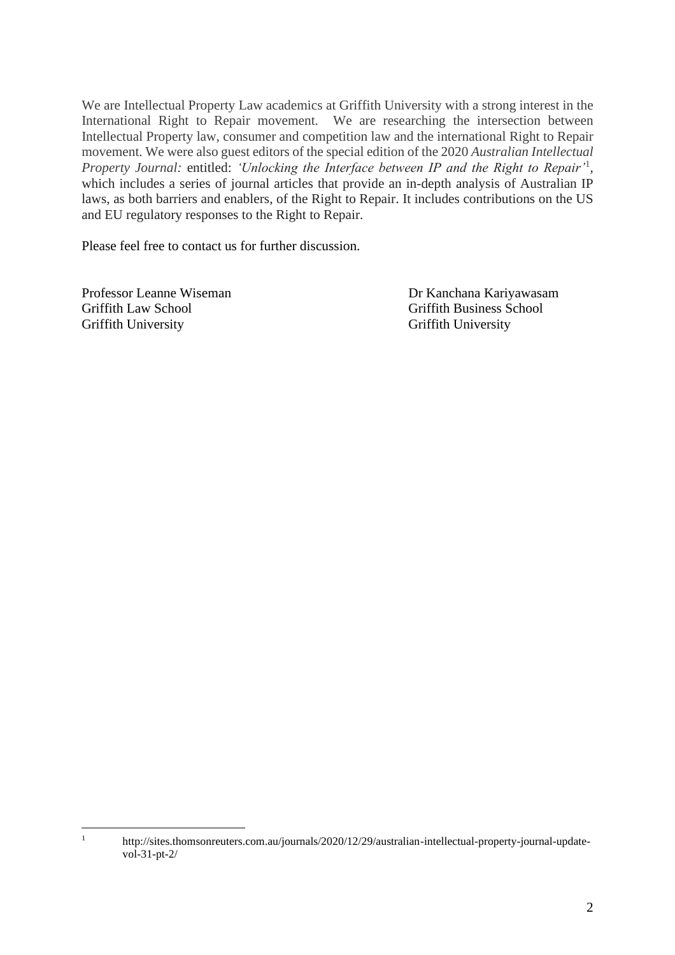We are Intellectual Property Law academics at Griffith University with a strong interest in the International Right to Repair movement. We are researching the intersection between Intellectual Property law, consumer and competition law and the international Right to Repair movement. We were also guest editors of the special edition of the 2020 *Australian Intellectual Property Journal:* entitled: *'Unlocking the Interface between IP and the Right to Repair'*<sup>1</sup> *,*  which includes a series of journal articles that provide an in-depth analysis of Australian IP laws, as both barriers and enablers, of the Right to Repair. It includes contributions on the US and EU regulatory responses to the Right to Repair.

Please feel free to contact us for further discussion.

Professor Leanne Wiseman Dr Kanchana Kariyawasam Griffith Law School Griffith Business School Griffith University Griffith University

<sup>1</sup> http://sites.thomsonreuters.com.au/journals/2020/12/29/australian-intellectual-property-journal-updatevol-31-pt-2/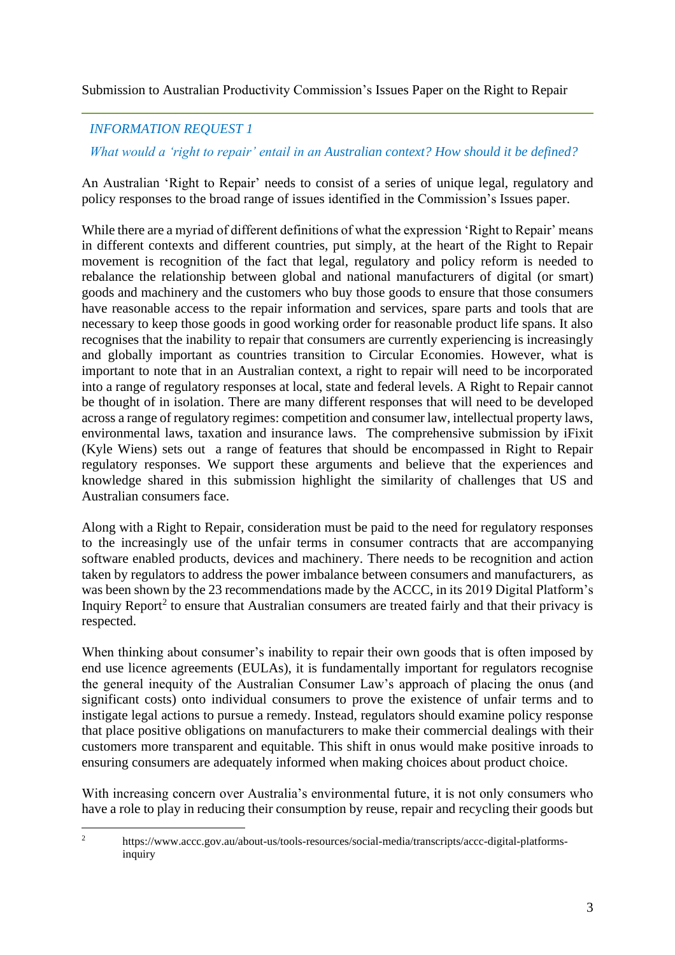Submission to Australian Productivity Commission's Issues Paper on the Right to Repair

# *INFORMATION REQUEST 1*

*What would a 'right to repair' entail in an Australian context? How should it be defined?*

An Australian 'Right to Repair' needs to consist of a series of unique legal, regulatory and policy responses to the broad range of issues identified in the Commission's Issues paper.

While there are a myriad of different definitions of what the expression 'Right to Repair' means in different contexts and different countries, put simply, at the heart of the Right to Repair movement is recognition of the fact that legal, regulatory and policy reform is needed to rebalance the relationship between global and national manufacturers of digital (or smart) goods and machinery and the customers who buy those goods to ensure that those consumers have reasonable access to the repair information and services, spare parts and tools that are necessary to keep those goods in good working order for reasonable product life spans. It also recognises that the inability to repair that consumers are currently experiencing is increasingly and globally important as countries transition to Circular Economies. However, what is important to note that in an Australian context, a right to repair will need to be incorporated into a range of regulatory responses at local, state and federal levels. A Right to Repair cannot be thought of in isolation. There are many different responses that will need to be developed across a range of regulatory regimes: competition and consumer law, intellectual property laws, environmental laws, taxation and insurance laws. The comprehensive submission by iFixit (Kyle Wiens) sets out a range of features that should be encompassed in Right to Repair regulatory responses. We support these arguments and believe that the experiences and knowledge shared in this submission highlight the similarity of challenges that US and Australian consumers face.

Along with a Right to Repair, consideration must be paid to the need for regulatory responses to the increasingly use of the unfair terms in consumer contracts that are accompanying software enabled products, devices and machinery. There needs to be recognition and action taken by regulators to address the power imbalance between consumers and manufacturers, as was been shown by the 23 recommendations made by the ACCC, in its 2019 Digital Platform's Inquiry Report<sup>2</sup> to ensure that Australian consumers are treated fairly and that their privacy is respected.

When thinking about consumer's inability to repair their own goods that is often imposed by end use licence agreements (EULAs), it is fundamentally important for regulators recognise the general inequity of the Australian Consumer Law's approach of placing the onus (and significant costs) onto individual consumers to prove the existence of unfair terms and to instigate legal actions to pursue a remedy. Instead, regulators should examine policy response that place positive obligations on manufacturers to make their commercial dealings with their customers more transparent and equitable. This shift in onus would make positive inroads to ensuring consumers are adequately informed when making choices about product choice.

With increasing concern over Australia's environmental future, it is not only consumers who have a role to play in reducing their consumption by reuse, repair and recycling their goods but

<sup>2</sup> https://www.accc.gov.au/about-us/tools-resources/social-media/transcripts/accc-digital-platformsinquiry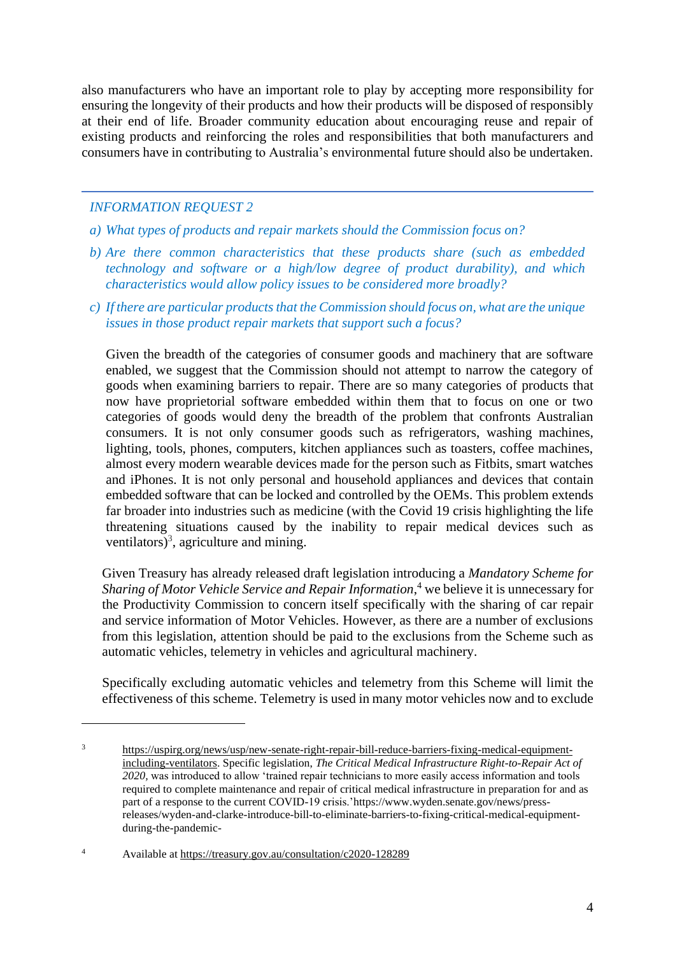also manufacturers who have an important role to play by accepting more responsibility for ensuring the longevity of their products and how their products will be disposed of responsibly at their end of life. Broader community education about encouraging reuse and repair of existing products and reinforcing the roles and responsibilities that both manufacturers and consumers have in contributing to Australia's environmental future should also be undertaken.

# *INFORMATION REQUEST 2*

- *a) What types of products and repair markets should the Commission focus on?*
- *b) Are there common characteristics that these products share (such as embedded technology and software or a high/low degree of product durability), and which characteristics would allow policy issues to be considered more broadly?*
- *c) If there are particular products that the Commission should focus on, what are the unique issues in those product repair markets that support such a focus?*

Given the breadth of the categories of consumer goods and machinery that are software enabled, we suggest that the Commission should not attempt to narrow the category of goods when examining barriers to repair. There are so many categories of products that now have proprietorial software embedded within them that to focus on one or two categories of goods would deny the breadth of the problem that confronts Australian consumers. It is not only consumer goods such as refrigerators, washing machines, lighting, tools, phones, computers, kitchen appliances such as toasters, coffee machines, almost every modern wearable devices made for the person such as Fitbits, smart watches and iPhones. It is not only personal and household appliances and devices that contain embedded software that can be locked and controlled by the OEMs. This problem extends far broader into industries such as medicine (with the Covid 19 crisis highlighting the life threatening situations caused by the inability to repair medical devices such as ventilators)<sup>3</sup>, agriculture and mining.

Given Treasury has already released draft legislation introducing a *Mandatory Scheme for Sharing of Motor Vehicle Service and Repair Information*, <sup>4</sup> we believe it is unnecessary for the Productivity Commission to concern itself specifically with the sharing of car repair and service information of Motor Vehicles. However, as there are a number of exclusions from this legislation, attention should be paid to the exclusions from the Scheme such as automatic vehicles, telemetry in vehicles and agricultural machinery.

Specifically excluding automatic vehicles and telemetry from this Scheme will limit the effectiveness of this scheme. Telemetry is used in many motor vehicles now and to exclude

<sup>3</sup> [https://uspirg.org/news/usp/new-senate-right-repair-bill-reduce-barriers-fixing-medical-equipment](https://uspirg.org/news/usp/new-senate-right-repair-bill-reduce-barriers-fixing-medical-equipment-including-ventilators)[including-ventilators.](https://uspirg.org/news/usp/new-senate-right-repair-bill-reduce-barriers-fixing-medical-equipment-including-ventilators) Specific legislation, *The Critical Medical Infrastructure Right-to-Repair Act of 2020,* was introduced to allow 'trained repair technicians to more easily access information and tools required to complete maintenance and repair of critical medical infrastructure in preparation for and as part of a response to the current COVID-19 crisis.'https://www.wyden.senate.gov/news/pressreleases/wyden-and-clarke-introduce-bill-to-eliminate-barriers-to-fixing-critical-medical-equipmentduring-the-pandemic-

<sup>4</sup> Available at<https://treasury.gov.au/consultation/c2020-128289>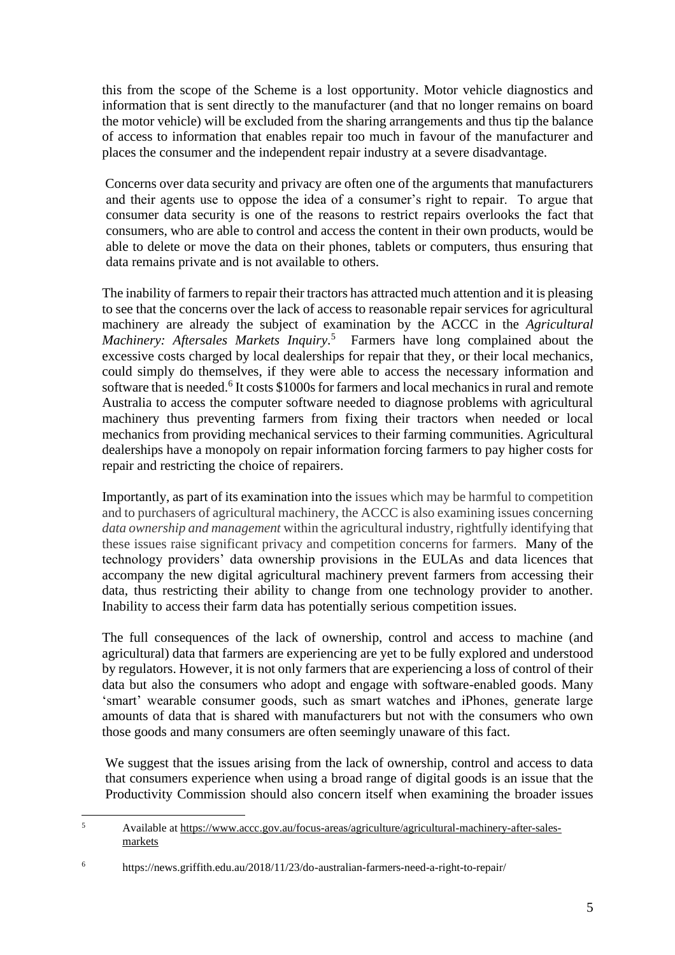this from the scope of the Scheme is a lost opportunity. Motor vehicle diagnostics and information that is sent directly to the manufacturer (and that no longer remains on board the motor vehicle) will be excluded from the sharing arrangements and thus tip the balance of access to information that enables repair too much in favour of the manufacturer and places the consumer and the independent repair industry at a severe disadvantage.

Concerns over data security and privacy are often one of the arguments that manufacturers and their agents use to oppose the idea of a consumer's right to repair. To argue that consumer data security is one of the reasons to restrict repairs overlooks the fact that consumers, who are able to control and access the content in their own products, would be able to delete or move the data on their phones, tablets or computers, thus ensuring that data remains private and is not available to others.

The inability of farmers to repair their tractors has attracted much attention and it is pleasing to see that the concerns over the lack of access to reasonable repair services for agricultural machinery are already the subject of examination by the ACCC in the *Agricultural Machinery: Aftersales Markets Inquiry*. <sup>5</sup> Farmers have long complained about the excessive costs charged by local dealerships for repair that they, or their local mechanics, could simply do themselves, if they were able to access the necessary information and software that is needed.<sup>6</sup> It costs \$1000s for farmers and local mechanics in rural and remote Australia to access the computer software needed to diagnose problems with agricultural machinery thus preventing farmers from fixing their tractors when needed or local mechanics from providing mechanical services to their farming communities. Agricultural dealerships have a monopoly on repair information forcing farmers to pay higher costs for repair and restricting the choice of repairers.

Importantly, as part of its examination into the issues which may be harmful to competition and to purchasers of agricultural machinery, the ACCC is also examining issues concerning *data ownership and management* within the agricultural industry, rightfully identifying that these issues raise significant privacy and competition concerns for farmers. Many of the technology providers' data ownership provisions in the EULAs and data licences that accompany the new digital agricultural machinery prevent farmers from accessing their data, thus restricting their ability to change from one technology provider to another. Inability to access their farm data has potentially serious competition issues.

The full consequences of the lack of ownership, control and access to machine (and agricultural) data that farmers are experiencing are yet to be fully explored and understood by regulators. However, it is not only farmers that are experiencing a loss of control of their data but also the consumers who adopt and engage with software-enabled goods. Many 'smart' wearable consumer goods, such as smart watches and iPhones, generate large amounts of data that is shared with manufacturers but not with the consumers who own those goods and many consumers are often seemingly unaware of this fact.

We suggest that the issues arising from the lack of ownership, control and access to data that consumers experience when using a broad range of digital goods is an issue that the Productivity Commission should also concern itself when examining the broader issues

<sup>5</sup> Available at [https://www.accc.gov.au/focus-areas/agriculture/agricultural-machinery-after-sales](https://www.accc.gov.au/focus-areas/agriculture/agricultural-machinery-after-sales-markets)[markets](https://www.accc.gov.au/focus-areas/agriculture/agricultural-machinery-after-sales-markets)

<sup>6</sup> https://news.griffith.edu.au/2018/11/23/do-australian-farmers-need-a-right-to-repair/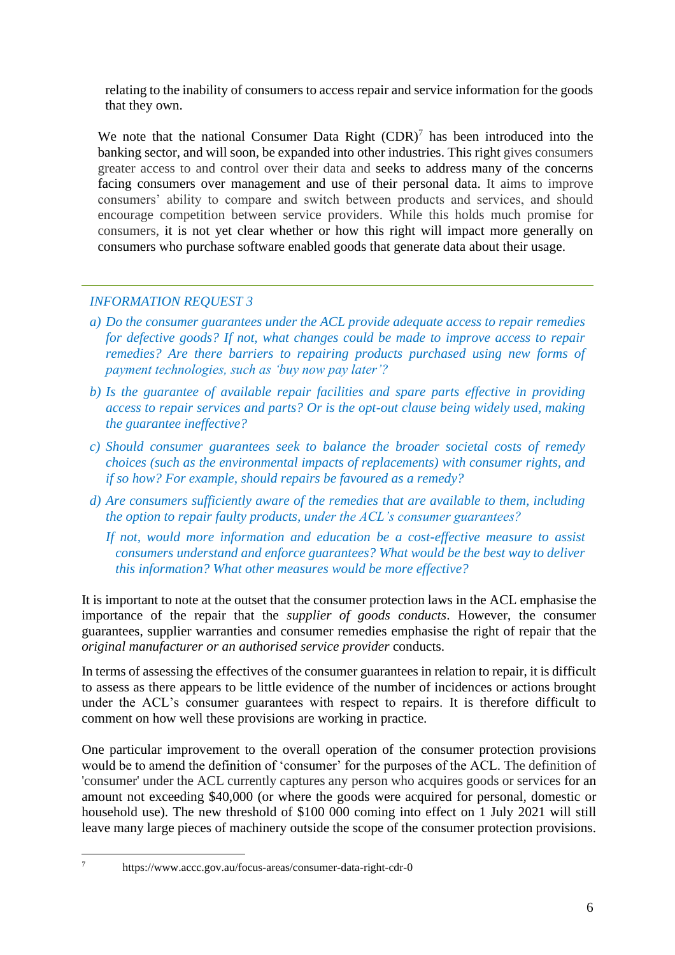relating to the inability of consumers to access repair and service information for the goods that they own.

We note that the national Consumer Data Right  $(CDR)^7$  has been introduced into the banking sector, and will soon, be expanded into other industries. This right gives consumers greater access to and control over their data and seeks to address many of the concerns facing consumers over management and use of their personal data. It aims to improve consumers' ability to compare and switch between products and services, and should encourage competition between service providers. While this holds much promise for consumers, it is not yet clear whether or how this right will impact more generally on consumers who purchase software enabled goods that generate data about their usage.

# *INFORMATION REQUEST 3*

- *a) Do the consumer guarantees under the ACL provide adequate access to repair remedies for defective goods? If not, what changes could be made to improve access to repair remedies? Are there barriers to repairing products purchased using new forms of payment technologies, such as 'buy now pay later'?*
- *b) Is the guarantee of available repair facilities and spare parts effective in providing access to repair services and parts? Or is the opt-out clause being widely used, making the guarantee ineffective?*
- *c) Should consumer guarantees seek to balance the broader societal costs of remedy choices (such as the environmental impacts of replacements) with consumer rights, and if so how? For example, should repairs be favoured as a remedy?*
- *d) Are consumers sufficiently aware of the remedies that are available to them, including the option to repair faulty products, under the ACL's consumer guarantees?*
	- *If not, would more information and education be a cost-effective measure to assist consumers understand and enforce guarantees? What would be the best way to deliver this information? What other measures would be more effective?*

It is important to note at the outset that the consumer protection laws in the ACL emphasise the importance of the repair that the *supplier of goods conducts*. However, the consumer guarantees, supplier warranties and consumer remedies emphasise the right of repair that the *original manufacturer or an authorised service provider* conducts.

In terms of assessing the effectives of the consumer guarantees in relation to repair, it is difficult to assess as there appears to be little evidence of the number of incidences or actions brought under the ACL's consumer guarantees with respect to repairs. It is therefore difficult to comment on how well these provisions are working in practice.

One particular improvement to the overall operation of the consumer protection provisions would be to amend the definition of 'consumer' for the purposes of the ACL. The definition of 'consumer' under the ACL currently captures any person who acquires goods or services for an amount not exceeding \$40,000 (or where the goods were acquired for personal, domestic or household use). The new threshold of \$100 000 coming into effect on 1 July 2021 will still leave many large pieces of machinery outside the scope of the consumer protection provisions.

<sup>7</sup> https://www.accc.gov.au/focus-areas/consumer-data-right-cdr-0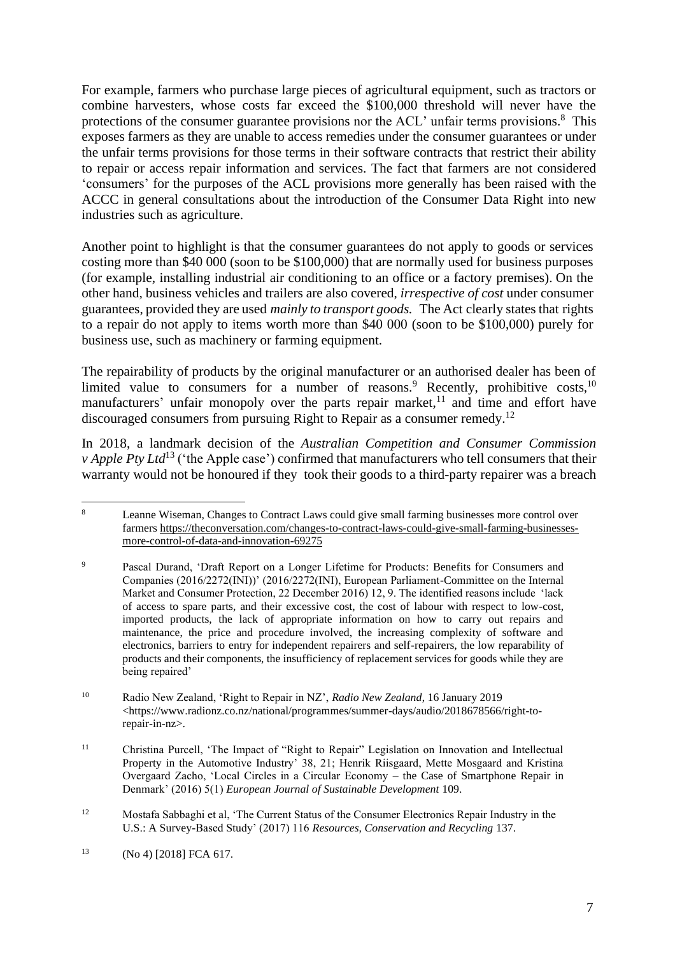For example, farmers who purchase large pieces of agricultural equipment, such as tractors or combine harvesters, whose costs far exceed the \$100,000 threshold will never have the protections of the consumer guarantee provisions nor the ACL' unfair terms provisions.<sup>8</sup> This exposes farmers as they are unable to access remedies under the consumer guarantees or under the unfair terms provisions for those terms in their software contracts that restrict their ability to repair or access repair information and services. The fact that farmers are not considered 'consumers' for the purposes of the ACL provisions more generally has been raised with the ACCC in general consultations about the introduction of the Consumer Data Right into new industries such as agriculture.

Another point to highlight is that the consumer guarantees do not apply to goods or services costing more than \$40 000 (soon to be \$100,000) that are normally used for business purposes (for example, installing industrial air conditioning to an office or a factory premises). On the other hand, business vehicles and trailers are also covered, *irrespective of cost* under consumer guarantees, provided they are used *mainly to transport goods.* The Act clearly statesthat rights to a repair do not apply to items worth more than \$40 000 (soon to be \$100,000) purely for business use, such as machinery or farming equipment.

The repairability of products by the original manufacturer or an authorised dealer has been of limited value to consumers for a number of reasons.<sup>9</sup> Recently, prohibitive costs,<sup>10</sup> manufacturers' unfair monopoly over the parts repair market,<sup>11</sup> and time and effort have discouraged consumers from pursuing Right to Repair as a consumer remedy.<sup>12</sup>

In 2018, a landmark decision of the *Australian Competition and Consumer Commission v Apple Pty Ltd*<sup>13</sup> ('the Apple case') confirmed that manufacturers who tell consumers that their warranty would not be honoured if they took their goods to a third-party repairer was a breach

<sup>&</sup>lt;sup>8</sup> Leanne Wiseman, Changes to Contract Laws could give small farming businesses more control over farmers [https://theconversation.com/changes-to-contract-laws-could-give-small-farming-businesses](https://theconversation.com/changes-to-contract-laws-could-give-small-farming-businesses-more-control-of-data-and-innovation-69275)[more-control-of-data-and-innovation-69275](https://theconversation.com/changes-to-contract-laws-could-give-small-farming-businesses-more-control-of-data-and-innovation-69275)

<sup>9</sup> Pascal Durand, 'Draft Report on a Longer Lifetime for Products: Benefits for Consumers and Companies (2016/2272(INI))' (2016/2272(INI), European Parliament-Committee on the Internal Market and Consumer Protection, 22 December 2016) 12, 9. The identified reasons include 'lack of access to spare parts, and their excessive cost, the cost of labour with respect to low-cost, imported products, the lack of appropriate information on how to carry out repairs and maintenance, the price and procedure involved, the increasing complexity of software and electronics, barriers to entry for independent repairers and self-repairers, the low reparability of products and their components, the insufficiency of replacement services for goods while they are being repaired'

<sup>10</sup> Radio New Zealand, 'Right to Repair in NZ', *Radio New Zealand*, 16 January 2019 <https://www.radionz.co.nz/national/programmes/summer-days/audio/2018678566/right-torepair-in-nz>.

<sup>11</sup> Christina Purcell, 'The Impact of "Right to Repair" Legislation on Innovation and Intellectual Property in the Automotive Industry' 38, 21; Henrik Riisgaard, Mette Mosgaard and Kristina Overgaard Zacho, 'Local Circles in a Circular Economy – the Case of Smartphone Repair in Denmark' (2016) 5(1) *European Journal of Sustainable Development* 109.

<sup>12</sup> Mostafa Sabbaghi et al, 'The Current Status of the Consumer Electronics Repair Industry in the U.S.: A Survey-Based Study' (2017) 116 *Resources, Conservation and Recycling* 137.

 $13$  (No 4) [2018] FCA 617.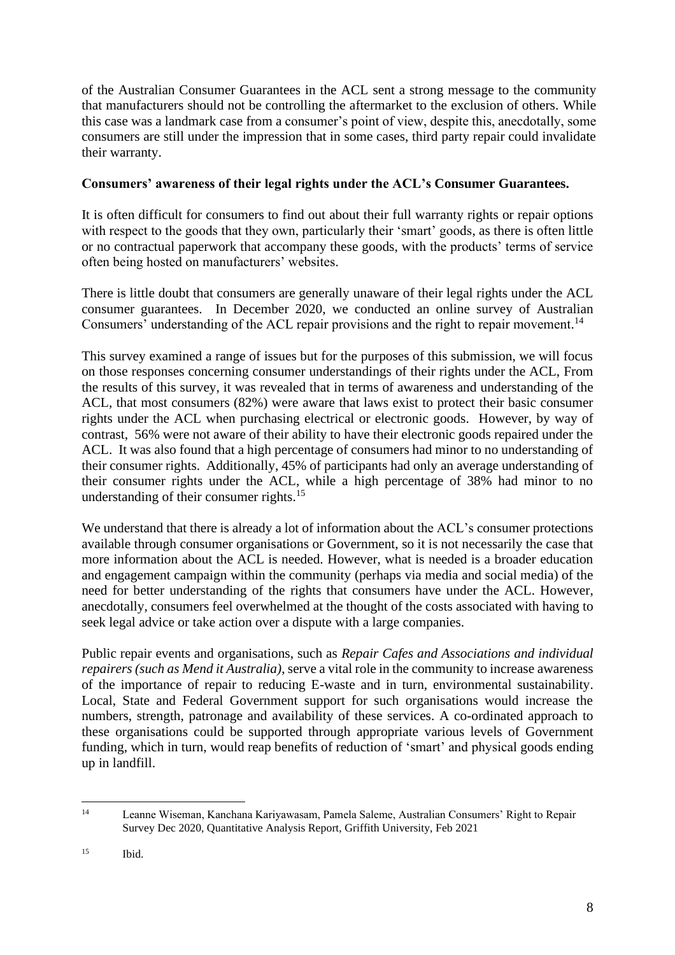of the Australian Consumer Guarantees in the ACL sent a strong message to the community that manufacturers should not be controlling the aftermarket to the exclusion of others. While this case was a landmark case from a consumer's point of view, despite this, anecdotally, some consumers are still under the impression that in some cases, third party repair could invalidate their warranty.

# **Consumers' awareness of their legal rights under the ACL's Consumer Guarantees.**

It is often difficult for consumers to find out about their full warranty rights or repair options with respect to the goods that they own, particularly their 'smart' goods, as there is often little or no contractual paperwork that accompany these goods, with the products' terms of service often being hosted on manufacturers' websites.

There is little doubt that consumers are generally unaware of their legal rights under the ACL consumer guarantees. In December 2020, we conducted an online survey of Australian Consumers' understanding of the ACL repair provisions and the right to repair movement.<sup>14</sup>

This survey examined a range of issues but for the purposes of this submission, we will focus on those responses concerning consumer understandings of their rights under the ACL, From the results of this survey, it was revealed that in terms of awareness and understanding of the ACL, that most consumers (82%) were aware that laws exist to protect their basic consumer rights under the ACL when purchasing electrical or electronic goods. However, by way of contrast, 56% were not aware of their ability to have their electronic goods repaired under the ACL. It was also found that a high percentage of consumers had minor to no understanding of their consumer rights. Additionally, 45% of participants had only an average understanding of their consumer rights under the ACL, while a high percentage of 38% had minor to no understanding of their consumer rights.<sup>15</sup>

We understand that there is already a lot of information about the ACL's consumer protections available through consumer organisations or Government, so it is not necessarily the case that more information about the ACL is needed. However, what is needed is a broader education and engagement campaign within the community (perhaps via media and social media) of the need for better understanding of the rights that consumers have under the ACL. However, anecdotally, consumers feel overwhelmed at the thought of the costs associated with having to seek legal advice or take action over a dispute with a large companies.

Public repair events and organisations, such as *Repair Cafes and Associations and individual repairers (such as Mend it Australia)*, serve a vital role in the community to increase awareness of the importance of repair to reducing E-waste and in turn, environmental sustainability. Local, State and Federal Government support for such organisations would increase the numbers, strength, patronage and availability of these services. A co-ordinated approach to these organisations could be supported through appropriate various levels of Government funding, which in turn, would reap benefits of reduction of 'smart' and physical goods ending up in landfill.

<sup>14</sup> Leanne Wiseman, Kanchana Kariyawasam, Pamela Saleme, Australian Consumers' Right to Repair Survey Dec 2020, Quantitative Analysis Report, Griffith University, Feb 2021

 $^{15}$  Ibid.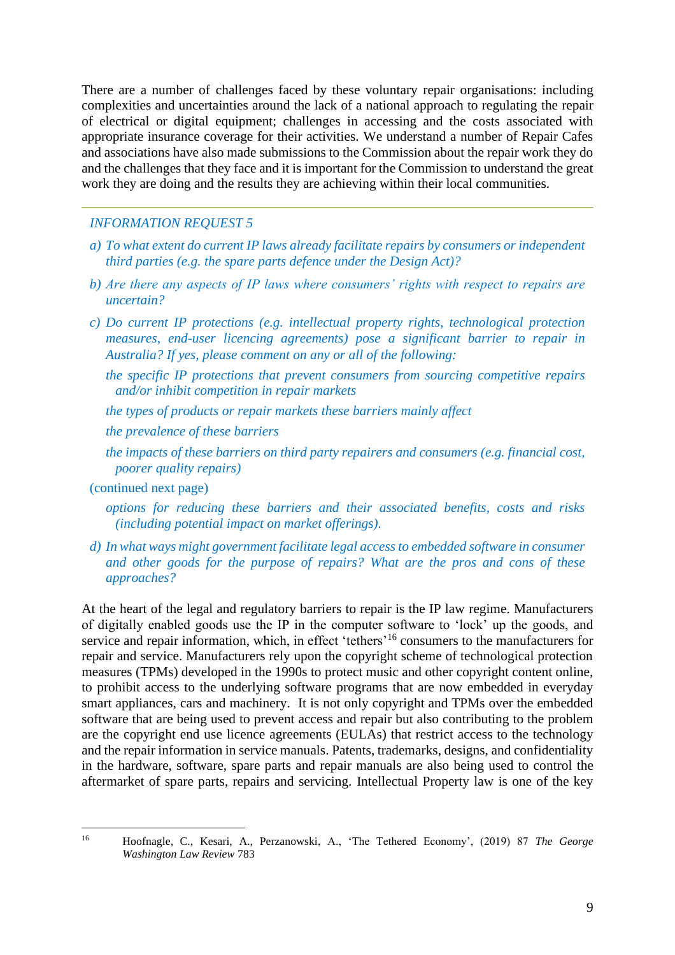There are a number of challenges faced by these voluntary repair organisations: including complexities and uncertainties around the lack of a national approach to regulating the repair of electrical or digital equipment; challenges in accessing and the costs associated with appropriate insurance coverage for their activities. We understand a number of Repair Cafes and associations have also made submissions to the Commission about the repair work they do and the challenges that they face and it is important for the Commission to understand the great work they are doing and the results they are achieving within their local communities.

### *INFORMATION REQUEST 5*

- *a) To what extent do current IP laws already facilitate repairs by consumers or independent third parties (e.g. the spare parts defence under the Design Act)?*
- *b) Are there any aspects of IP laws where consumers' rights with respect to repairs are uncertain?*
- *c) Do current IP protections (e.g. intellectual property rights, technological protection measures, end-user licencing agreements) pose a significant barrier to repair in Australia? If yes, please comment on any or all of the following:*
	- *the specific IP protections that prevent consumers from sourcing competitive repairs and/or inhibit competition in repair markets*
	- *the types of products or repair markets these barriers mainly affect*
	- *the prevalence of these barriers*
	- *the impacts of these barriers on third party repairers and consumers (e.g. financial cost, poorer quality repairs)*

#### (continued next page)

- *options for reducing these barriers and their associated benefits, costs and risks (including potential impact on market offerings).*
- *d) In what ways might government facilitate legal access to embedded software in consumer and other goods for the purpose of repairs? What are the pros and cons of these approaches?*

At the heart of the legal and regulatory barriers to repair is the IP law regime. Manufacturers of digitally enabled goods use the IP in the computer software to 'lock' up the goods, and service and repair information, which, in effect 'tethers'<sup>16</sup> consumers to the manufacturers for repair and service. Manufacturers rely upon the copyright scheme of technological protection measures (TPMs) developed in the 1990s to protect music and other copyright content online, to prohibit access to the underlying software programs that are now embedded in everyday smart appliances, cars and machinery. It is not only copyright and TPMs over the embedded software that are being used to prevent access and repair but also contributing to the problem are the copyright end use licence agreements (EULAs) that restrict access to the technology and the repair information in service manuals. Patents, trademarks, designs, and confidentiality in the hardware, software, spare parts and repair manuals are also being used to control the aftermarket of spare parts, repairs and servicing. Intellectual Property law is one of the key

<sup>16</sup> Hoofnagle, C., Kesari, A., Perzanowski, A., 'The Tethered Economy', (2019) 87 *The George Washington Law Review* 783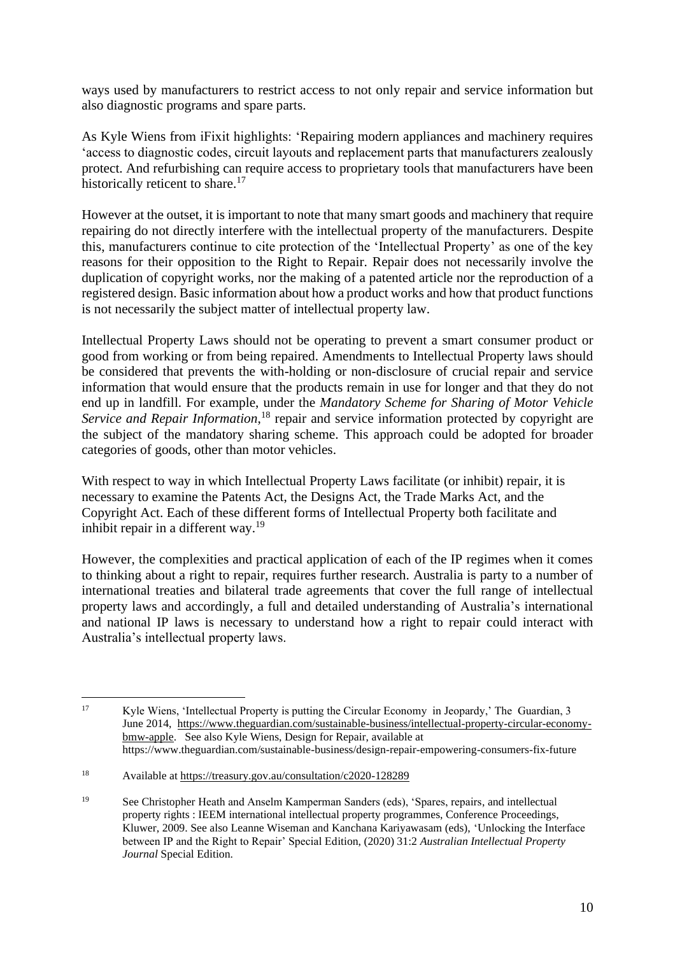ways used by manufacturers to restrict access to not only repair and service information but also diagnostic programs and spare parts.

As Kyle Wiens from iFixit highlights: 'Repairing modern appliances and machinery requires 'access to diagnostic codes, circuit layouts and replacement parts that manufacturers zealously protect. And refurbishing can require access to proprietary tools that manufacturers have been historically reticent to share.<sup>17</sup>

However at the outset, it is important to note that many smart goods and machinery that require repairing do not directly interfere with the intellectual property of the manufacturers. Despite this, manufacturers continue to cite protection of the 'Intellectual Property' as one of the key reasons for their opposition to the Right to Repair. Repair does not necessarily involve the duplication of copyright works, nor the making of a patented article nor the reproduction of a registered design. Basic information about how a product works and how that product functions is not necessarily the subject matter of intellectual property law.

Intellectual Property Laws should not be operating to prevent a smart consumer product or good from working or from being repaired. Amendments to Intellectual Property laws should be considered that prevents the with-holding or non-disclosure of crucial repair and service information that would ensure that the products remain in use for longer and that they do not end up in landfill. For example, under the *Mandatory Scheme for Sharing of Motor Vehicle*  Service and Repair Information,<sup>18</sup> repair and service information protected by copyright are the subject of the mandatory sharing scheme. This approach could be adopted for broader categories of goods, other than motor vehicles.

With respect to way in which Intellectual Property Laws facilitate (or inhibit) repair, it is necessary to examine the Patents Act, the Designs Act, the Trade Marks Act, and the Copyright Act. Each of these different forms of Intellectual Property both facilitate and inhibit repair in a different way.<sup>19</sup>

However, the complexities and practical application of each of the IP regimes when it comes to thinking about a right to repair, requires further research. Australia is party to a number of international treaties and bilateral trade agreements that cover the full range of intellectual property laws and accordingly, a full and detailed understanding of Australia's international and national IP laws is necessary to understand how a right to repair could interact with Australia's intellectual property laws.

<sup>17</sup> Kyle Wiens, 'Intellectual Property is putting the Circular Economy in Jeopardy,' The Guardian, 3 June 2014, [https://www.theguardian.com/sustainable-business/intellectual-property-circular-economy](https://www.theguardian.com/sustainable-business/intellectual-property-circular-economy-bmw-apple)[bmw-apple.](https://www.theguardian.com/sustainable-business/intellectual-property-circular-economy-bmw-apple) See also Kyle Wiens, Design for Repair, available at https://www.theguardian.com/sustainable-business/design-repair-empowering-consumers-fix-future

<sup>18</sup> Available at<https://treasury.gov.au/consultation/c2020-128289>

<sup>19</sup> See Christopher Heath and Anselm Kamperman Sanders (eds), 'Spares, repairs, and intellectual property rights : IEEM international intellectual property programmes, Conference Proceedings, Kluwer, 2009. See also Leanne Wiseman and Kanchana Kariyawasam (eds), 'Unlocking the Interface between IP and the Right to Repair' Special Edition, (2020) 31:2 *Australian Intellectual Property Journal* Special Edition.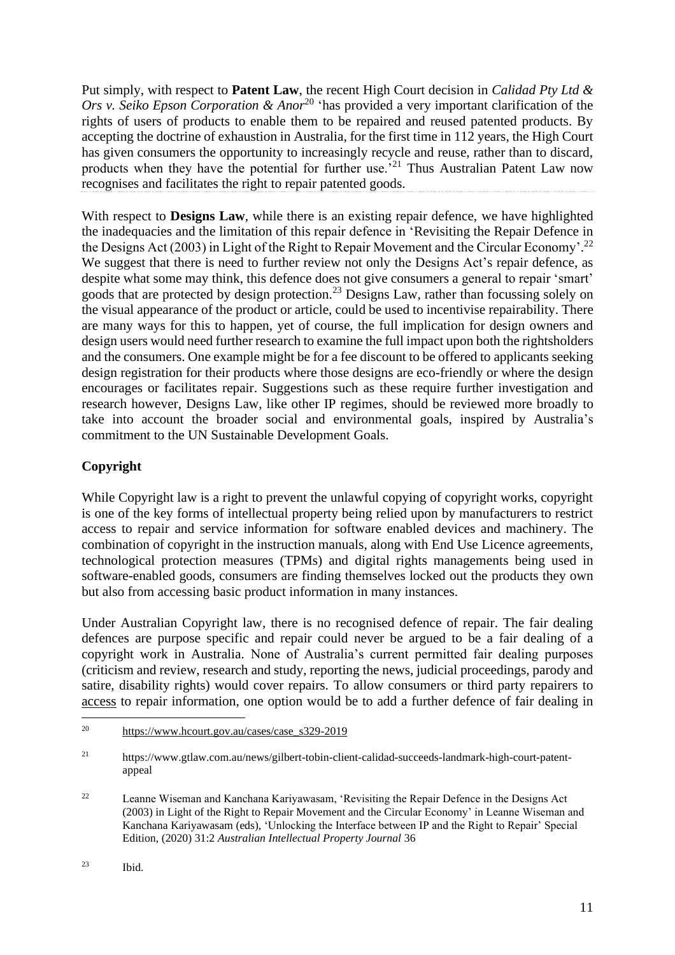Put simply, with respect to **Patent Law**, the recent High Court decision in *Calidad Pty Ltd &*  Ors v. Seiko Epson Corporation & Anor<sup>20</sup> 'has provided a very important clarification of the rights of users of products to enable them to be repaired and reused patented products. By accepting the doctrine of exhaustion in Australia, for the first time in 112 years, the High Court has given consumers the opportunity to increasingly recycle and reuse, rather than to discard, products when they have the potential for further use.<sup>21</sup> Thus Australian Patent Law now recognises and facilitates the right to repair patented goods.

With respect to **Designs Law**, while there is an existing repair defence, we have highlighted the inadequacies and the limitation of this repair defence in 'Revisiting the Repair Defence in the Designs Act (2003) in Light of the Right to Repair Movement and the Circular Economy'.<sup>22</sup> We suggest that there is need to further review not only the Designs Act's repair defence, as despite what some may think, this defence does not give consumers a general to repair 'smart' goods that are protected by design protection.<sup>23</sup> Designs Law, rather than focussing solely on the visual appearance of the product or article, could be used to incentivise repairability. There are many ways for this to happen, yet of course, the full implication for design owners and design users would need further research to examine the full impact upon both the rightsholders and the consumers. One example might be for a fee discount to be offered to applicants seeking design registration for their products where those designs are eco-friendly or where the design encourages or facilitates repair. Suggestions such as these require further investigation and research however, Designs Law, like other IP regimes, should be reviewed more broadly to take into account the broader social and environmental goals, inspired by Australia's commitment to the UN Sustainable Development Goals.

# **Copyright**

While Copyright law is a right to prevent the unlawful copying of copyright works, copyright is one of the key forms of intellectual property being relied upon by manufacturers to restrict access to repair and service information for software enabled devices and machinery. The combination of copyright in the instruction manuals, along with End Use Licence agreements, technological protection measures (TPMs) and digital rights managements being used in software-enabled goods, consumers are finding themselves locked out the products they own but also from accessing basic product information in many instances.

Under Australian Copyright law, there is no recognised defence of repair. The fair dealing defences are purpose specific and repair could never be argued to be a fair dealing of a copyright work in Australia. None of Australia's current permitted fair dealing purposes (criticism and review, research and study, reporting the news, judicial proceedings, parody and satire, disability rights) would cover repairs. To allow consumers or third party repairers to access to repair information, one option would be to add a further defence of fair dealing in

<sup>20</sup> [https://www.hcourt.gov.au/cases/case\\_s329-2019](https://www.hcourt.gov.au/cases/case_s329-2019)

<sup>21</sup> https://www.gtlaw.com.au/news/gilbert-tobin-client-calidad-succeeds-landmark-high-court-patentappeal

<sup>&</sup>lt;sup>22</sup> Leanne Wiseman and Kanchana Kariyawasam, 'Revisiting the Repair Defence in the Designs Act (2003) in Light of the Right to Repair Movement and the Circular Economy' in Leanne Wiseman and Kanchana Kariyawasam (eds), 'Unlocking the Interface between IP and the Right to Repair' Special Edition, (2020) 31:2 *Australian Intellectual Property Journal* 36

<sup>23</sup> Ibid.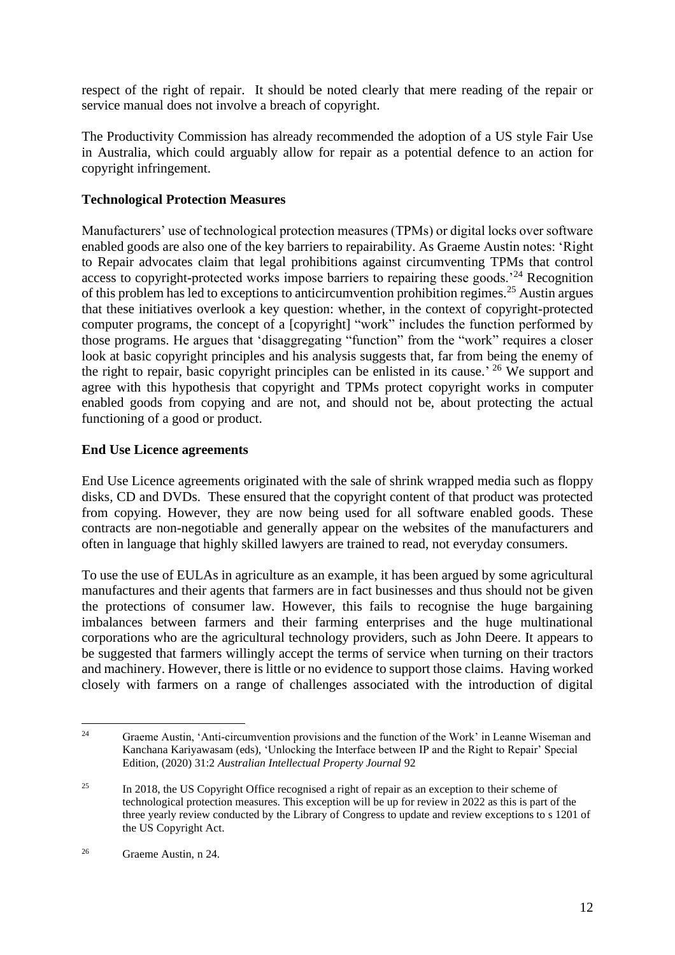respect of the right of repair. It should be noted clearly that mere reading of the repair or service manual does not involve a breach of copyright.

The Productivity Commission has already recommended the adoption of a US style Fair Use in Australia, which could arguably allow for repair as a potential defence to an action for copyright infringement.

# **Technological Protection Measures**

Manufacturers' use of technological protection measures (TPMs) or digital locks over software enabled goods are also one of the key barriers to repairability. As Graeme Austin notes: 'Right to Repair advocates claim that legal prohibitions against circumventing TPMs that control access to copyright-protected works impose barriers to repairing these goods.<sup>24</sup> Recognition of this problem has led to exceptions to anticircumvention prohibition regimes.<sup>25</sup> Austin argues that these initiatives overlook a key question: whether, in the context of copyright-protected computer programs, the concept of a [copyright] "work" includes the function performed by those programs. He argues that 'disaggregating "function" from the "work" requires a closer look at basic copyright principles and his analysis suggests that, far from being the enemy of the right to repair, basic copyright principles can be enlisted in its cause.<sup>' 26</sup> We support and agree with this hypothesis that copyright and TPMs protect copyright works in computer enabled goods from copying and are not, and should not be, about protecting the actual functioning of a good or product.

### **End Use Licence agreements**

End Use Licence agreements originated with the sale of shrink wrapped media such as floppy disks, CD and DVDs. These ensured that the copyright content of that product was protected from copying. However, they are now being used for all software enabled goods. These contracts are non-negotiable and generally appear on the websites of the manufacturers and often in language that highly skilled lawyers are trained to read, not everyday consumers.

To use the use of EULAs in agriculture as an example, it has been argued by some agricultural manufactures and their agents that farmers are in fact businesses and thus should not be given the protections of consumer law. However, this fails to recognise the huge bargaining imbalances between farmers and their farming enterprises and the huge multinational corporations who are the agricultural technology providers, such as John Deere. It appears to be suggested that farmers willingly accept the terms of service when turning on their tractors and machinery. However, there is little or no evidence to support those claims. Having worked closely with farmers on a range of challenges associated with the introduction of digital

<sup>&</sup>lt;sup>24</sup> Graeme Austin, 'Anti-circumvention provisions and the function of the Work' in Leanne Wiseman and Kanchana Kariyawasam (eds), 'Unlocking the Interface between IP and the Right to Repair' Special Edition, (2020) 31:2 *Australian Intellectual Property Journal* 92

<sup>&</sup>lt;sup>25</sup> In 2018, the US Copyright Office recognised a right of repair as an exception to their scheme of technological protection measures. This exception will be up for review in 2022 as this is part of the three yearly review conducted by the Library of Congress to update and review exceptions to s 1201 of the US Copyright Act.

<sup>26</sup> Graeme Austin, n 24.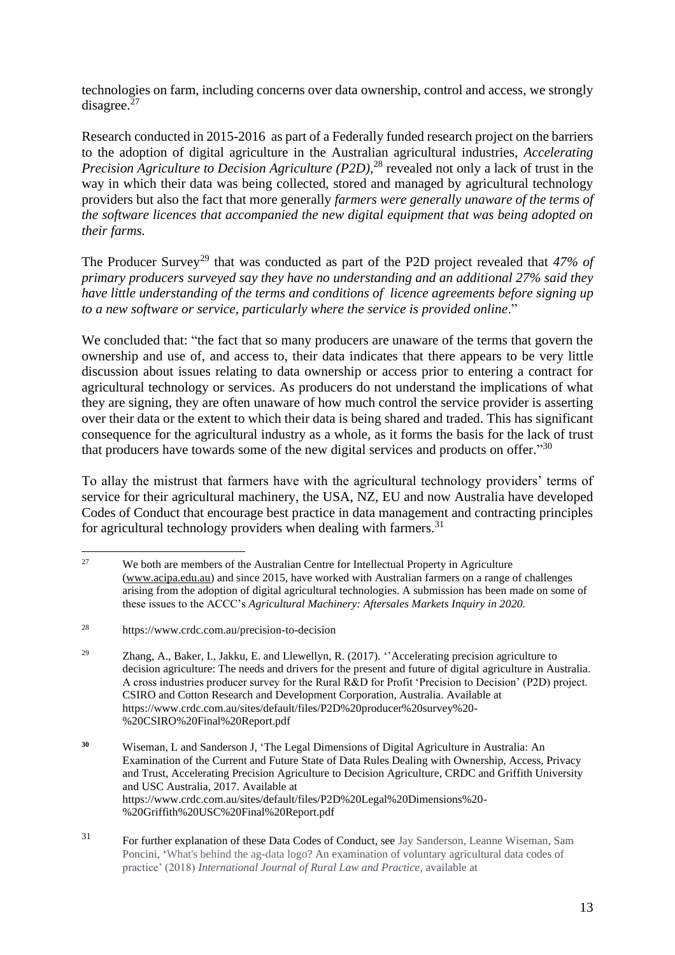technologies on farm, including concerns over data ownership, control and access, we strongly disagree.<sup>27</sup>

Research conducted in 2015-2016 as part of a Federally funded research project on the barriers to the adoption of digital agriculture in the Australian agricultural industries, *Accelerating Precision Agriculture to Decision Agriculture (P2D)*, <sup>28</sup> revealed not only a lack of trust in the way in which their data was being collected, stored and managed by agricultural technology providers but also the fact that more generally *farmers were generally unaware of the terms of the software licences that accompanied the new digital equipment that was being adopted on their farms.*

The Producer Survey<sup>29</sup> that was conducted as part of the P2D project revealed that 47% of *primary producers surveyed say they have no understanding and an additional 27% said they have little understanding of the terms and conditions of licence agreements before signing up to a new software or service, particularly where the service is provided online*."

We concluded that: "the fact that so many producers are unaware of the terms that govern the ownership and use of, and access to, their data indicates that there appears to be very little discussion about issues relating to data ownership or access prior to entering a contract for agricultural technology or services. As producers do not understand the implications of what they are signing, they are often unaware of how much control the service provider is asserting over their data or the extent to which their data is being shared and traded. This has significant consequence for the agricultural industry as a whole, as it forms the basis for the lack of trust that producers have towards some of the new digital services and products on offer." $30$ 

To allay the mistrust that farmers have with the agricultural technology providers' terms of service for their agricultural machinery, the USA, NZ, EU and now Australia have developed Codes of Conduct that encourage best practice in data management and contracting principles for agricultural technology providers when dealing with farmers.<sup>31</sup>

<sup>&</sup>lt;sup>27</sup> We both are members of the Australian Centre for Intellectual Property in Agriculture [\(www.acipa.edu.au\)](http://www.acipa.edu.au/) and since 2015, have worked with Australian farmers on a range of challenges arising from the adoption of digital agricultural technologies. A submission has been made on some of these issues to the ACCC's *Agricultural Machinery: Aftersales Markets Inquiry in 2020.*

<sup>28</sup> https://www.crdc.com.au/precision-to-decision

<sup>29</sup> Zhang, A., Baker, I., Jakku, E. and Llewellyn, R. (2017). ''Accelerating precision agriculture to decision agriculture: The needs and drivers for the present and future of digital agriculture in Australia. A cross industries producer survey for the Rural R&D for Profit 'Precision to Decision' (P2D) project. CSIRO and Cotton Research and Development Corporation, Australia. Available at https://www.crdc.com.au/sites/default/files/P2D%20producer%20survey%20- %20CSIRO%20Final%20Report.pdf

**<sup>30</sup>** Wiseman, L and Sanderson J, 'The Legal Dimensions of Digital Agriculture in Australia: An Examination of the Current and Future State of Data Rules Dealing with Ownership, Access, Privacy and Trust, Accelerating Precision Agriculture to Decision Agriculture, CRDC and Griffith University and USC Australia, 2017. Available at https://www.crdc.com.au/sites/default/files/P2D%20Legal%20Dimensions%20- %20Griffith%20USC%20Final%20Report.pdf

<sup>31</sup> For further explanation of these Data Codes of Conduct, see Jay Sanderson, Leanne Wiseman, Sam Poncini, 'What's behind the ag-data logo? An examination of voluntary agricultural data codes of practice' (2018) *International Journal of Rural Law and Practice,* available at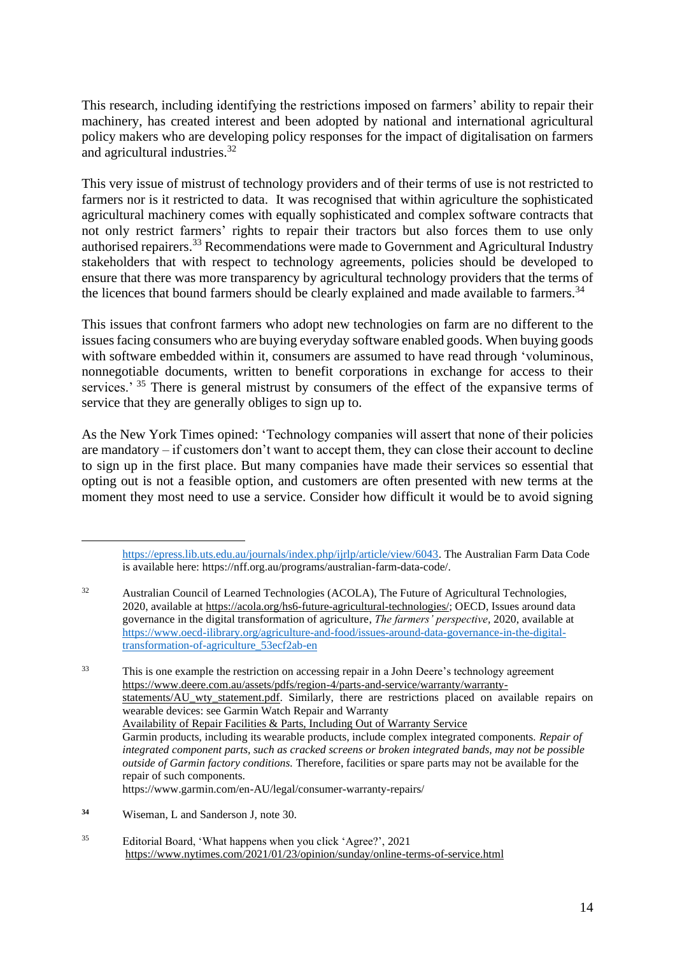This research, including identifying the restrictions imposed on farmers' ability to repair their machinery, has created interest and been adopted by national and international agricultural policy makers who are developing policy responses for the impact of digitalisation on farmers and agricultural industries.<sup>32</sup>

This very issue of mistrust of technology providers and of their terms of use is not restricted to farmers nor is it restricted to data. It was recognised that within agriculture the sophisticated agricultural machinery comes with equally sophisticated and complex software contracts that not only restrict farmers' rights to repair their tractors but also forces them to use only authorised repairers.<sup>33</sup> Recommendations were made to Government and Agricultural Industry stakeholders that with respect to technology agreements, policies should be developed to ensure that there was more transparency by agricultural technology providers that the terms of the licences that bound farmers should be clearly explained and made available to farmers.<sup>34</sup>

This issues that confront farmers who adopt new technologies on farm are no different to the issues facing consumers who are buying everyday software enabled goods. When buying goods with software embedded within it, consumers are assumed to have read through 'voluminous, nonnegotiable documents, written to benefit corporations in exchange for access to their services.' <sup>35</sup> There is general mistrust by consumers of the effect of the expansive terms of service that they are generally obliges to sign up to.

As the New York Times opined: 'Technology companies will assert that none of their policies are mandatory – if customers don't want to accept them, they can close their account to decline to sign up in the first place. But many companies have made their services so essential that opting out is not a feasible option, and customers are often presented with new terms at the moment they most need to use a service. Consider how difficult it would be to avoid signing

<sup>35</sup> Editorial Board, 'What happens when you click 'Agree?', 2021 <https://www.nytimes.com/2021/01/23/opinion/sunday/online-terms-of-service.html>

[https://epress.lib.uts.edu.au/journals/index.php/ijrlp/article/view/6043.](https://epress.lib.uts.edu.au/journals/index.php/ijrlp/article/view/6043) The Australian Farm Data Code is available here: https://nff.org.au/programs/australian-farm-data-code/.

<sup>32</sup> Australian Council of Learned Technologies (ACOLA), The Future of Agricultural Technologies, 2020, available at [https://acola.org/hs6-future-agricultural-technologies/;](https://acola.org/hs6-future-agricultural-technologies/) OECD, Issues around data governance in the digital transformation of agriculture, *The farmers' perspective,* 2020, available at [https://www.oecd-ilibrary.org/agriculture-and-food/issues-around-data-governance-in-the-digital](https://www.oecd-ilibrary.org/agriculture-and-food/issues-around-data-governance-in-the-digital-transformation-of-agriculture_53ecf2ab-en)[transformation-of-agriculture\\_53ecf2ab-en](https://www.oecd-ilibrary.org/agriculture-and-food/issues-around-data-governance-in-the-digital-transformation-of-agriculture_53ecf2ab-en)

<sup>&</sup>lt;sup>33</sup> This is one example the restriction on accessing repair in a John Deere's technology agreement [https://www.deere.com.au/assets/pdfs/region-4/parts-and-service/warranty/warranty](https://www.deere.com.au/assets/pdfs/region-4/parts-and-service/warranty/warranty-statements/AU_wty_statement.pdf)statements/AU wty statement.pdf. Similarly, there are restrictions placed on available repairs on wearable devices: see Garmin Watch Repair and Warranty Availability of Repair Facilities & Parts, Including Out of Warranty Service Garmin products, including its wearable products, include complex integrated components. *Repair of integrated component parts, such as cracked screens or broken integrated bands, may not be possible outside of Garmin factory conditions.* Therefore, facilities or spare parts may not be available for the repair of such components. https://www.garmin.com/en-AU/legal/consumer-warranty-repairs/

**<sup>34</sup>** Wiseman, L and Sanderson J, note 30.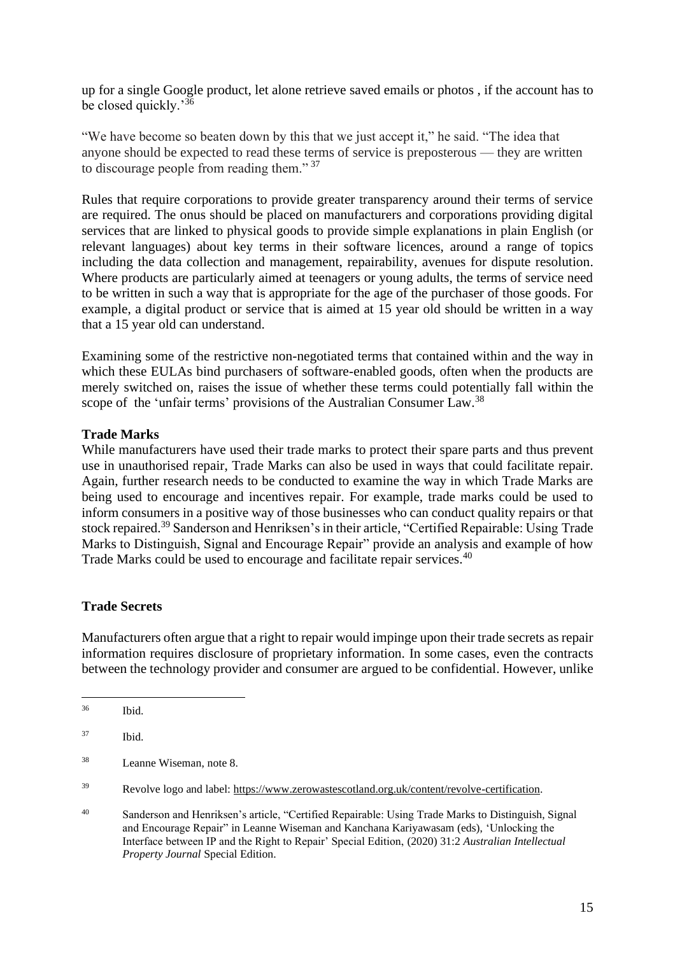up for a single Google product, let alone retrieve saved emails or photos , if the account has to be closed quickly.'<sup>36</sup>

"We have become so beaten down by this that we just accept it," he said. "The idea that anyone should be expected to read these terms of service is preposterous — they are written to discourage people from reading them." <sup>37</sup>

Rules that require corporations to provide greater transparency around their terms of service are required. The onus should be placed on manufacturers and corporations providing digital services that are linked to physical goods to provide simple explanations in plain English (or relevant languages) about key terms in their software licences, around a range of topics including the data collection and management, repairability, avenues for dispute resolution. Where products are particularly aimed at teenagers or young adults, the terms of service need to be written in such a way that is appropriate for the age of the purchaser of those goods. For example, a digital product or service that is aimed at 15 year old should be written in a way that a 15 year old can understand.

Examining some of the restrictive non-negotiated terms that contained within and the way in which these EULAs bind purchasers of software-enabled goods, often when the products are merely switched on, raises the issue of whether these terms could potentially fall within the scope of the 'unfair terms' provisions of the Australian Consumer Law.<sup>38</sup>

### **Trade Marks**

While manufacturers have used their trade marks to protect their spare parts and thus prevent use in unauthorised repair, Trade Marks can also be used in ways that could facilitate repair. Again, further research needs to be conducted to examine the way in which Trade Marks are being used to encourage and incentives repair. For example, trade marks could be used to inform consumers in a positive way of those businesses who can conduct quality repairs or that stock repaired.<sup>39</sup> Sanderson and Henriksen's in their article, "Certified Repairable: Using Trade Marks to Distinguish, Signal and Encourage Repair" provide an analysis and example of how Trade Marks could be used to encourage and facilitate repair services.<sup>40</sup>

#### **Trade Secrets**

Manufacturers often argue that a right to repair would impinge upon their trade secrets as repair information requires disclosure of proprietary information. In some cases, even the contracts between the technology provider and consumer are argued to be confidential. However, unlike

<sup>36</sup> Ibid.

<sup>37</sup> Ibid.

<sup>38</sup> Leanne Wiseman, note 8.

<sup>39</sup> Revolve logo and label: [https://www.zerowastescotland.org.uk/content/revolve-certification.](https://www.zerowastescotland.org.uk/content/revolve-certification)

<sup>40</sup> Sanderson and Henriksen's article, "Certified Repairable: Using Trade Marks to Distinguish, Signal and Encourage Repair" in Leanne Wiseman and Kanchana Kariyawasam (eds), 'Unlocking the Interface between IP and the Right to Repair' Special Edition, (2020) 31:2 *Australian Intellectual Property Journal* Special Edition.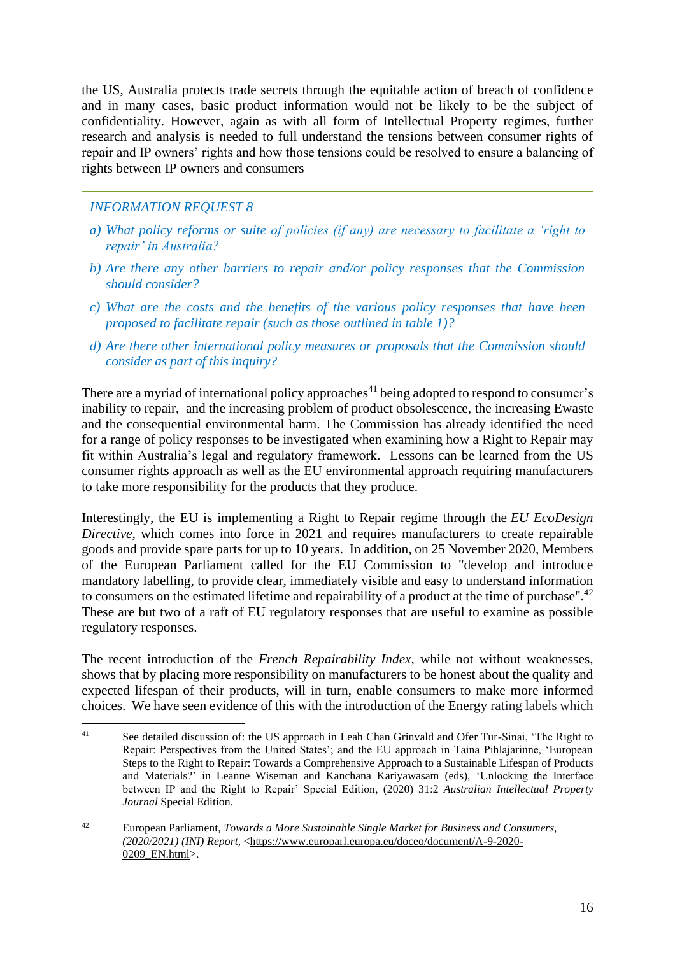the US, Australia protects trade secrets through the equitable action of breach of confidence and in many cases, basic product information would not be likely to be the subject of confidentiality. However, again as with all form of Intellectual Property regimes, further research and analysis is needed to full understand the tensions between consumer rights of repair and IP owners' rights and how those tensions could be resolved to ensure a balancing of rights between IP owners and consumers

# *INFORMATION REQUEST 8*

- *a) What policy reforms or suite of policies (if any) are necessary to facilitate a 'right to repair' in Australia?*
- *b) Are there any other barriers to repair and/or policy responses that the Commission should consider?*
- *c) What are the costs and the benefits of the various policy responses that have been proposed to facilitate repair (such as those outlined in table 1)?*
- *d) Are there other international policy measures or proposals that the Commission should consider as part of this inquiry?*

There are a myriad of international policy approaches<sup>41</sup> being adopted to respond to consumer's inability to repair, and the increasing problem of product obsolescence, the increasing Ewaste and the consequential environmental harm. The Commission has already identified the need for a range of policy responses to be investigated when examining how a Right to Repair may fit within Australia's legal and regulatory framework. Lessons can be learned from the US consumer rights approach as well as the EU environmental approach requiring manufacturers to take more responsibility for the products that they produce.

Interestingly, the EU is implementing a Right to Repair regime through the *EU EcoDesign Directive*, which comes into force in 2021 and requires manufacturers to create repairable goods and provide spare parts for up to 10 years. In addition, on 25 November 2020, Members of the European Parliament called for the EU Commission to "develop and introduce mandatory labelling, to provide clear, immediately visible and easy to understand information to consumers on the estimated lifetime and repairability of a product at the time of purchase".<sup>42</sup> These are but two of a raft of EU regulatory responses that are useful to examine as possible regulatory responses.

The recent introduction of the *French Repairability Index*, while not without weaknesses, shows that by placing more responsibility on manufacturers to be honest about the quality and expected lifespan of their products, will in turn, enable consumers to make more informed choices. We have seen evidence of this with the introduction of the Energy rating labels which

<sup>&</sup>lt;sup>41</sup> See detailed discussion of: the US approach in Leah Chan Grinvald and Ofer Tur-Sinai, 'The Right to Repair: Perspectives from the United States'; and the EU approach in Taina Pihlajarinne, 'European Steps to the Right to Repair: Towards a Comprehensive Approach to a Sustainable Lifespan of Products and Materials?' in Leanne Wiseman and Kanchana Kariyawasam (eds), 'Unlocking the Interface between IP and the Right to Repair' Special Edition, (2020) 31:2 *Australian Intellectual Property Journal* Special Edition.

<sup>42</sup> European Parliament, *Towards a More Sustainable Single Market for Business and Consumers, (2020/2021) (INI) Report*, [<https://www.europarl.europa.eu/doceo/document/A-9-2020-](https://www.europarl.europa.eu/doceo/document/A-9-2020-0209_EN.html) 0209 EN.html>.